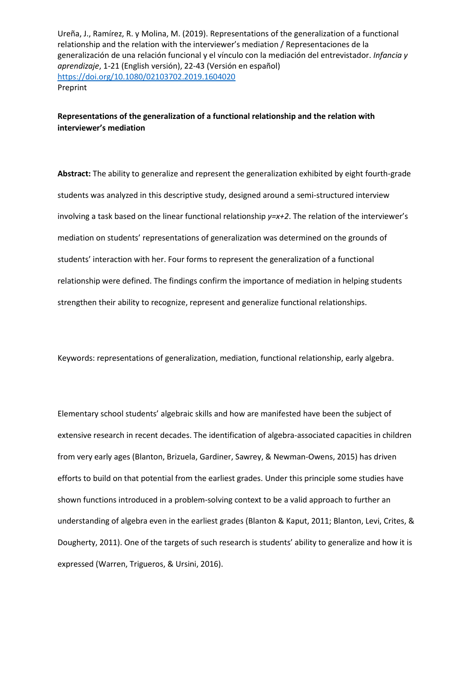# **Representations of the generalization of a functional relationship and the relation with interviewer's mediation**

**Abstract:** The ability to generalize and represent the generalization exhibited by eight fourth-grade students was analyzed in this descriptive study, designed around a semi-structured interview involving a task based on the linear functional relationship *y=x+2*. The relation of the interviewer's mediation on students' representations of generalization was determined on the grounds of students' interaction with her. Four forms to represent the generalization of a functional relationship were defined. The findings confirm the importance of mediation in helping students strengthen their ability to recognize, represent and generalize functional relationships.

Keywords: representations of generalization, mediation, functional relationship, early algebra.

Elementary school students' algebraic skills and how are manifested have been the subject of extensive research in recent decades. The identification of algebra-associated capacities in children from very early ages (Blanton, Brizuela, Gardiner, Sawrey, & Newman-Owens, 2015) has driven efforts to build on that potential from the earliest grades. Under this principle some studies have shown functions introduced in a problem-solving context to be a valid approach to further an understanding of algebra even in the earliest grades (Blanton & Kaput, 2011; Blanton, Levi, Crites, & Dougherty, 2011). One of the targets of such research is students' ability to generalize and how it is expressed (Warren, Trigueros, & Ursini, 2016).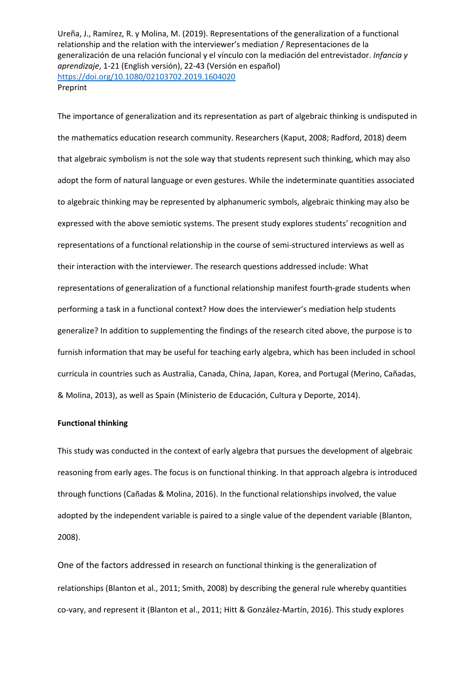The importance of generalization and its representation as part of algebraic thinking is undisputed in the mathematics education research community. Researchers (Kaput, 2008; Radford, 2018) deem that algebraic symbolism is not the sole way that students represent such thinking, which may also adopt the form of natural language or even gestures. While the indeterminate quantities associated to algebraic thinking may be represented by alphanumeric symbols, algebraic thinking may also be expressed with the above semiotic systems. The present study explores students' recognition and representations of a functional relationship in the course of semi-structured interviews as well as their interaction with the interviewer. The research questions addressed include: What representations of generalization of a functional relationship manifest fourth-grade students when performing a task in a functional context? How does the interviewer's mediation help students generalize? In addition to supplementing the findings of the research cited above, the purpose is to furnish information that may be useful for teaching early algebra, which has been included in school curricula in countries such as Australia, Canada, China, Japan, Korea, and Portugal (Merino, Cañadas, & Molina, 2013), as well as Spain (Ministerio de Educación, Cultura y Deporte, 2014).

## **Functional thinking**

This study was conducted in the context of early algebra that pursues the development of algebraic reasoning from early ages. The focus is on functional thinking. In that approach algebra is introduced through functions (Cañadas & Molina, 2016). In the functional relationships involved, the value adopted by the independent variable is paired to a single value of the dependent variable (Blanton, 2008).

One of the factors addressed in research on functional thinking is the generalization of relationships (Blanton et al., 2011; Smith, 2008) by describing the general rule whereby quantities co-vary, and represent it (Blanton et al., 2011; Hitt & González-Martín, 2016). This study explores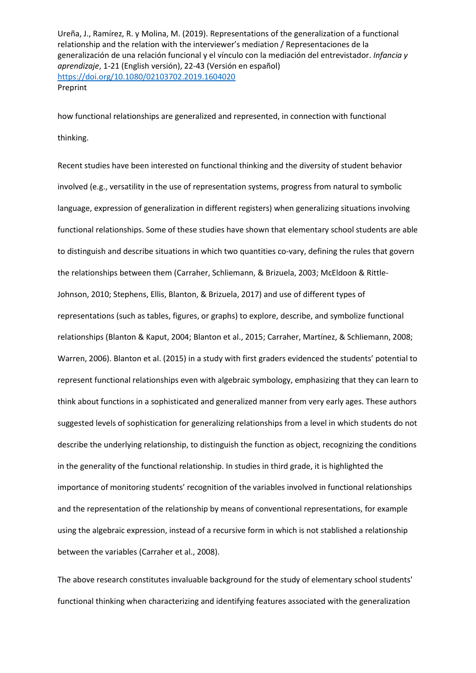how functional relationships are generalized and represented, in connection with functional thinking.

Recent studies have been interested on functional thinking and the diversity of student behavior involved (e.g., versatility in the use of representation systems, progress from natural to symbolic language, expression of generalization in different registers) when generalizing situations involving functional relationships. Some of these studies have shown that elementary school students are able to distinguish and describe situations in which two quantities co-vary, defining the rules that govern the relationships between them (Carraher, Schliemann, & Brizuela, 2003; McEldoon & Rittle-Johnson, 2010; Stephens, Ellis, Blanton, & Brizuela, 2017) and use of different types of representations (such as tables, figures, or graphs) to explore, describe, and symbolize functional relationships (Blanton & Kaput, 2004; Blanton et al., 2015; Carraher, Martínez, & Schliemann, 2008; Warren, 2006). Blanton et al. (2015) in a study with first graders evidenced the students' potential to represent functional relationships even with algebraic symbology, emphasizing that they can learn to think about functions in a sophisticated and generalized manner from very early ages. These authors suggested levels of sophistication for generalizing relationships from a level in which students do not describe the underlying relationship, to distinguish the function as object, recognizing the conditions in the generality of the functional relationship. In studies in third grade, it is highlighted the importance of monitoring students' recognition of the variables involved in functional relationships and the representation of the relationship by means of conventional representations, for example using the algebraic expression, instead of a recursive form in which is not stablished a relationship between the variables (Carraher et al., 2008).

The above research constitutes invaluable background for the study of elementary school students' functional thinking when characterizing and identifying features associated with the generalization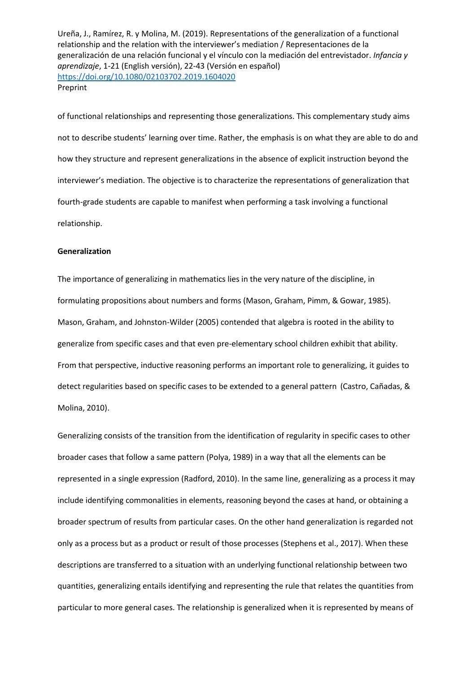of functional relationships and representing those generalizations. This complementary study aims not to describe students' learning over time. Rather, the emphasis is on what they are able to do and how they structure and represent generalizations in the absence of explicit instruction beyond the interviewer's mediation. The objective is to characterize the representations of generalization that fourth-grade students are capable to manifest when performing a task involving a functional relationship.

### **Generalization**

The importance of generalizing in mathematics lies in the very nature of the discipline, in formulating propositions about numbers and forms (Mason, Graham, Pimm, & Gowar, 1985). Mason, Graham, and Johnston-Wilder (2005) contended that algebra is rooted in the ability to generalize from specific cases and that even pre-elementary school children exhibit that ability. From that perspective, inductive reasoning performs an important role to generalizing, it guides to detect regularities based on specific cases to be extended to a general pattern (Castro, Cañadas, & Molina, 2010).

Generalizing consists of the transition from the identification of regularity in specific cases to other broader cases that follow a same pattern (Polya, 1989) in a way that all the elements can be represented in a single expression (Radford, 2010). In the same line, generalizing as a process it may include identifying commonalities in elements, reasoning beyond the cases at hand, or obtaining a broader spectrum of results from particular cases. On the other hand generalization is regarded not only as a process but as a product or result of those processes (Stephens et al., 2017). When these descriptions are transferred to a situation with an underlying functional relationship between two quantities, generalizing entails identifying and representing the rule that relates the quantities from particular to more general cases. The relationship is generalized when it is represented by means of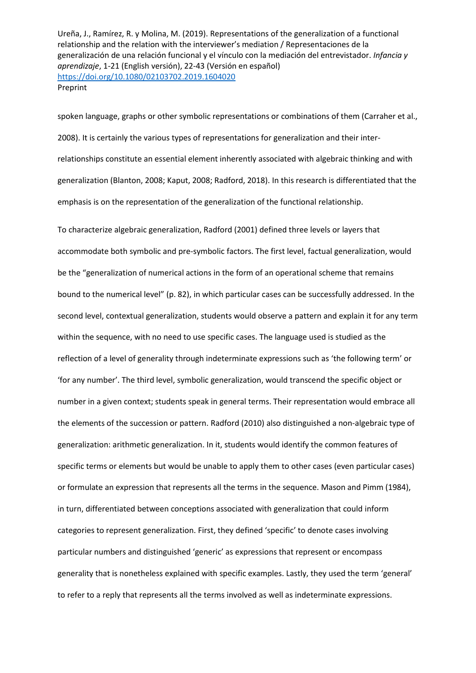spoken language, graphs or other symbolic representations or combinations of them (Carraher et al., 2008). It is certainly the various types of representations for generalization and their interrelationships constitute an essential element inherently associated with algebraic thinking and with generalization (Blanton, 2008; Kaput, 2008; Radford, 2018). In this research is differentiated that the emphasis is on the representation of the generalization of the functional relationship.

To characterize algebraic generalization, Radford (2001) defined three levels or layers that accommodate both symbolic and pre-symbolic factors. The first level, factual generalization, would be the "generalization of numerical actions in the form of an operational scheme that remains bound to the numerical level" (p. 82), in which particular cases can be successfully addressed. In the second level, contextual generalization, students would observe a pattern and explain it for any term within the sequence, with no need to use specific cases. The language used is studied as the reflection of a level of generality through indeterminate expressions such as 'the following term' or 'for any number'. The third level, symbolic generalization, would transcend the specific object or number in a given context; students speak in general terms. Their representation would embrace all the elements of the succession or pattern. Radford (2010) also distinguished a non-algebraic type of generalization: arithmetic generalization. In it, students would identify the common features of specific terms or elements but would be unable to apply them to other cases (even particular cases) or formulate an expression that represents all the terms in the sequence. Mason and Pimm (1984), in turn, differentiated between conceptions associated with generalization that could inform categories to represent generalization. First, they defined 'specific' to denote cases involving particular numbers and distinguished 'generic' as expressions that represent or encompass generality that is nonetheless explained with specific examples. Lastly, they used the term 'general' to refer to a reply that represents all the terms involved as well as indeterminate expressions.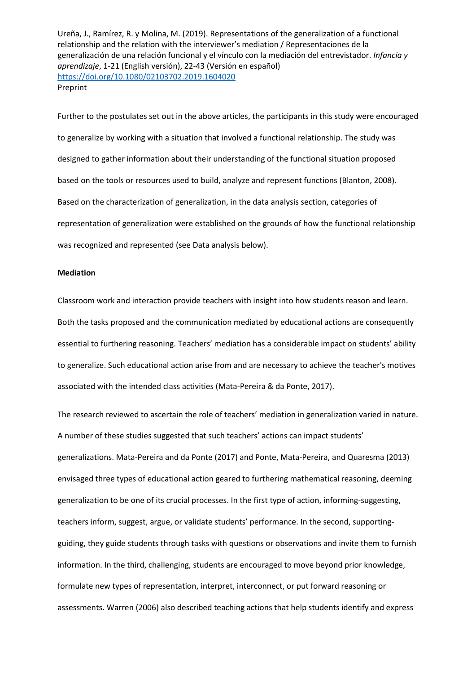Further to the postulates set out in the above articles, the participants in this study were encouraged to generalize by working with a situation that involved a functional relationship. The study was designed to gather information about their understanding of the functional situation proposed based on the tools or resources used to build, analyze and represent functions (Blanton, 2008). Based on the characterization of generalization, in the data analysis section, categories of representation of generalization were established on the grounds of how the functional relationship was recognized and represented (see Data analysis below).

## **Mediation**

Classroom work and interaction provide teachers with insight into how students reason and learn. Both the tasks proposed and the communication mediated by educational actions are consequently essential to furthering reasoning. Teachers' mediation has a considerable impact on students' ability to generalize. Such educational action arise from and are necessary to achieve the teacher's motives associated with the intended class activities (Mata-Pereira & da Ponte, 2017).

The research reviewed to ascertain the role of teachers' mediation in generalization varied in nature. A number of these studies suggested that such teachers' actions can impact students' generalizations. Mata-Pereira and da Ponte (2017) and Ponte, Mata-Pereira, and Quaresma (2013) envisaged three types of educational action geared to furthering mathematical reasoning, deeming generalization to be one of its crucial processes. In the first type of action, informing-suggesting, teachers inform, suggest, argue, or validate students' performance. In the second, supportingguiding, they guide students through tasks with questions or observations and invite them to furnish information. In the third, challenging, students are encouraged to move beyond prior knowledge, formulate new types of representation, interpret, interconnect, or put forward reasoning or assessments. Warren (2006) also described teaching actions that help students identify and express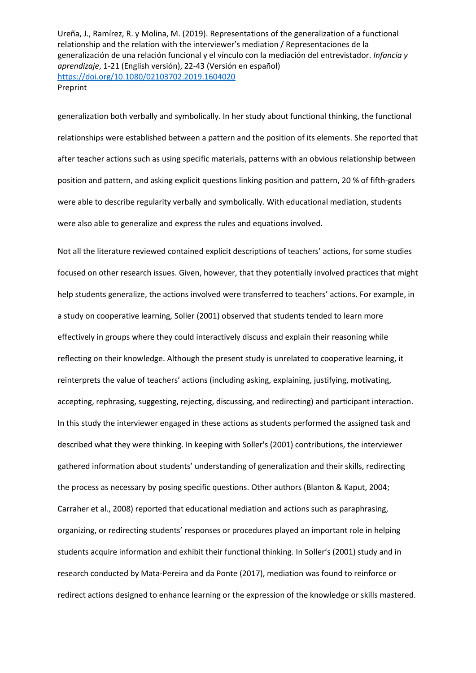generalization both verbally and symbolically. In her study about functional thinking, the functional relationships were established between a pattern and the position of its elements. She reported that after teacher actions such as using specific materials, patterns with an obvious relationship between position and pattern, and asking explicit questions linking position and pattern, 20 % of fifth-graders were able to describe regularity verbally and symbolically. With educational mediation, students were also able to generalize and express the rules and equations involved.

Not all the literature reviewed contained explicit descriptions of teachers' actions, for some studies focused on other research issues. Given, however, that they potentially involved practices that might help students generalize, the actions involved were transferred to teachers' actions. For example, in a study on cooperative learning, Soller (2001) observed that students tended to learn more effectively in groups where they could interactively discuss and explain their reasoning while reflecting on their knowledge. Although the present study is unrelated to cooperative learning, it reinterprets the value of teachers' actions (including asking, explaining, justifying, motivating, accepting, rephrasing, suggesting, rejecting, discussing, and redirecting) and participant interaction. In this study the interviewer engaged in these actions as students performed the assigned task and described what they were thinking. In keeping with Soller's (2001) contributions, the interviewer gathered information about students' understanding of generalization and their skills, redirecting the process as necessary by posing specific questions. Other authors (Blanton & Kaput, 2004; Carraher et al., 2008) reported that educational mediation and actions such as paraphrasing, organizing, or redirecting students' responses or procedures played an important role in helping students acquire information and exhibit their functional thinking. In Soller's (2001) study and in research conducted by Mata-Pereira and da Ponte (2017), mediation was found to reinforce or redirect actions designed to enhance learning or the expression of the knowledge or skills mastered.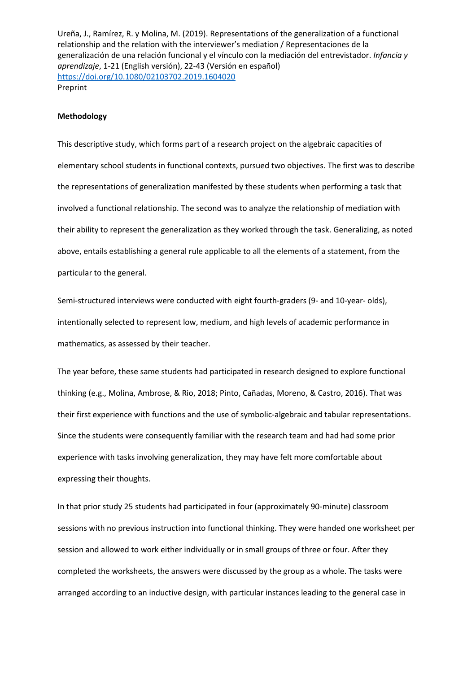#### **Methodology**

This descriptive study, which forms part of a research project on the algebraic capacities of elementary school students in functional contexts, pursued two objectives. The first was to describe the representations of generalization manifested by these students when performing a task that involved a functional relationship. The second was to analyze the relationship of mediation with their ability to represent the generalization as they worked through the task. Generalizing, as noted above, entails establishing a general rule applicable to all the elements of a statement, from the particular to the general.

Semi-structured interviews were conducted with eight fourth-graders (9- and 10-year- olds), intentionally selected to represent low, medium, and high levels of academic performance in mathematics, as assessed by their teacher.

The year before, these same students had participated in research designed to explore functional thinking (e.g., Molina, Ambrose, & Rio, 2018; Pinto, Cañadas, Moreno, & Castro, 2016). That was their first experience with functions and the use of symbolic-algebraic and tabular representations. Since the students were consequently familiar with the research team and had had some prior experience with tasks involving generalization, they may have felt more comfortable about expressing their thoughts.

In that prior study 25 students had participated in four (approximately 90-minute) classroom sessions with no previous instruction into functional thinking. They were handed one worksheet per session and allowed to work either individually or in small groups of three or four. After they completed the worksheets, the answers were discussed by the group as a whole. The tasks were arranged according to an inductive design, with particular instances leading to the general case in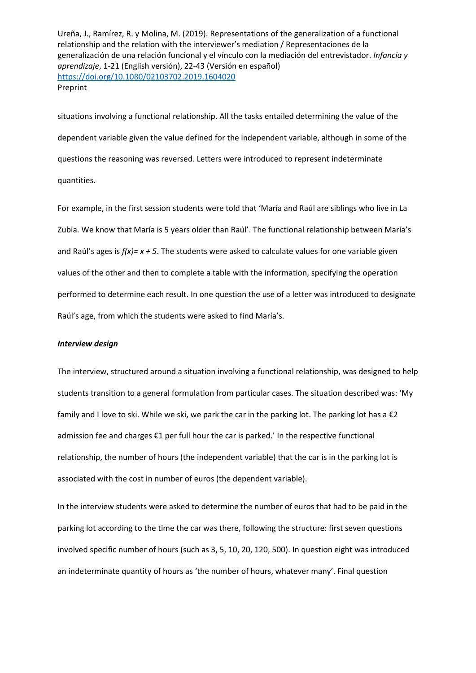situations involving a functional relationship. All the tasks entailed determining the value of the dependent variable given the value defined for the independent variable, although in some of the questions the reasoning was reversed. Letters were introduced to represent indeterminate quantities.

For example, in the first session students were told that 'María and Raúl are siblings who live in La Zubia. We know that María is 5 years older than Raúl'. The functional relationship between María's and Raúl's ages is *f(x)= x + 5*. The students were asked to calculate values for one variable given values of the other and then to complete a table with the information, specifying the operation performed to determine each result. In one question the use of a letter was introduced to designate Raúl's age, from which the students were asked to find María's.

## *Interview design*

The interview, structured around a situation involving a functional relationship, was designed to help students transition to a general formulation from particular cases. The situation described was: 'My family and I love to ski. While we ski, we park the car in the parking lot. The parking lot has a  $\epsilon$ 2 admission fee and charges €1 per full hour the car is parked.' In the respective functional relationship, the number of hours (the independent variable) that the car is in the parking lot is associated with the cost in number of euros (the dependent variable).

In the interview students were asked to determine the number of euros that had to be paid in the parking lot according to the time the car was there, following the structure: first seven questions involved specific number of hours (such as 3, 5, 10, 20, 120, 500). In question eight was introduced an indeterminate quantity of hours as 'the number of hours, whatever many'. Final question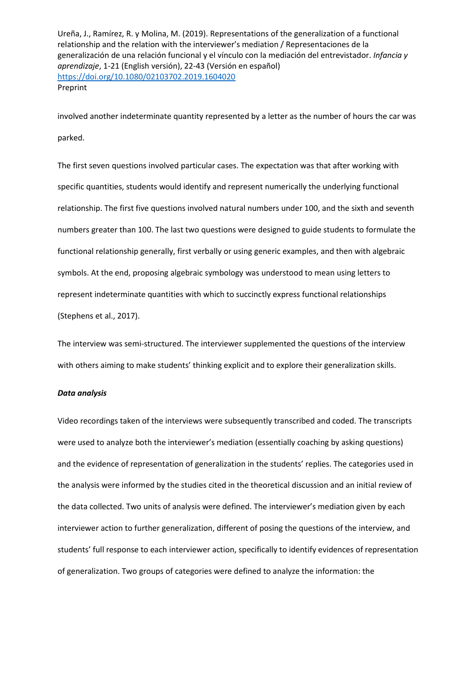involved another indeterminate quantity represented by a letter as the number of hours the car was parked.

The first seven questions involved particular cases. The expectation was that after working with specific quantities, students would identify and represent numerically the underlying functional relationship. The first five questions involved natural numbers under 100, and the sixth and seventh numbers greater than 100. The last two questions were designed to guide students to formulate the functional relationship generally, first verbally or using generic examples, and then with algebraic symbols. At the end, proposing algebraic symbology was understood to mean using letters to represent indeterminate quantities with which to succinctly express functional relationships (Stephens et al., 2017).

The interview was semi-structured. The interviewer supplemented the questions of the interview with others aiming to make students' thinking explicit and to explore their generalization skills.

#### *Data analysis*

Video recordings taken of the interviews were subsequently transcribed and coded. The transcripts were used to analyze both the interviewer's mediation (essentially coaching by asking questions) and the evidence of representation of generalization in the students' replies. The categories used in the analysis were informed by the studies cited in the theoretical discussion and an initial review of the data collected. Two units of analysis were defined. The interviewer's mediation given by each interviewer action to further generalization, different of posing the questions of the interview, and students' full response to each interviewer action, specifically to identify evidences of representation of generalization. Two groups of categories were defined to analyze the information: the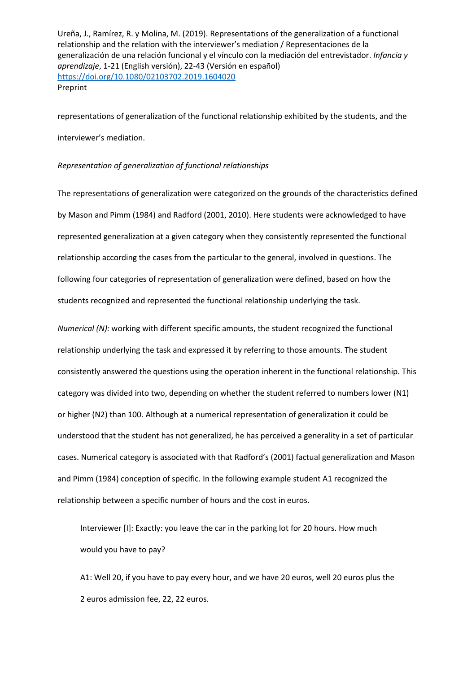representations of generalization of the functional relationship exhibited by the students, and the interviewer's mediation.

## *Representation of generalization of functional relationships*

The representations of generalization were categorized on the grounds of the characteristics defined by Mason and Pimm (1984) and Radford (2001, 2010). Here students were acknowledged to have represented generalization at a given category when they consistently represented the functional relationship according the cases from the particular to the general, involved in questions. The following four categories of representation of generalization were defined, based on how the students recognized and represented the functional relationship underlying the task.

*Numerical (N):* working with different specific amounts, the student recognized the functional relationship underlying the task and expressed it by referring to those amounts. The student consistently answered the questions using the operation inherent in the functional relationship. This category was divided into two, depending on whether the student referred to numbers lower (N1) or higher (N2) than 100. Although at a numerical representation of generalization it could be understood that the student has not generalized, he has perceived a generality in a set of particular cases. Numerical category is associated with that Radford's (2001) factual generalization and Mason and Pimm (1984) conception of specific. In the following example student A1 recognized the relationship between a specific number of hours and the cost in euros.

Interviewer [I]: Exactly: you leave the car in the parking lot for 20 hours. How much would you have to pay?

A1: Well 20, if you have to pay every hour, and we have 20 euros, well 20 euros plus the 2 euros admission fee, 22, 22 euros.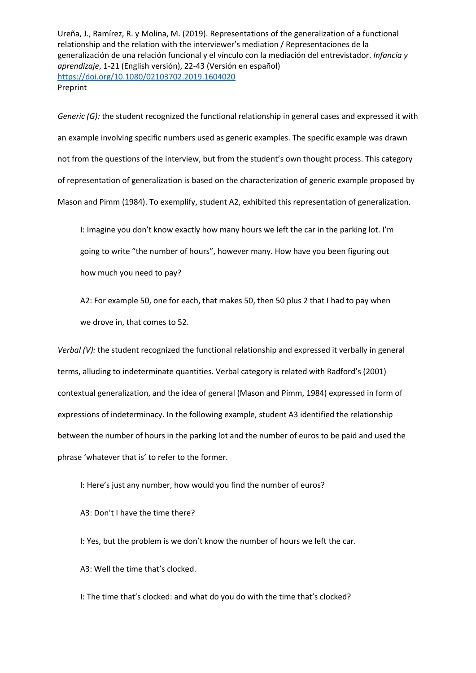*Generic (G):* the student recognized the functional relationship in general cases and expressed it with an example involving specific numbers used as generic examples. The specific example was drawn not from the questions of the interview, but from the student's own thought process. This category of representation of generalization is based on the characterization of generic example proposed by Mason and Pimm (1984). To exemplify, student A2, exhibited this representation of generalization.

I: Imagine you don't know exactly how many hours we left the car in the parking lot. I'm going to write "the number of hours", however many. How have you been figuring out how much you need to pay?

A2: For example 50, one for each, that makes 50, then 50 plus 2 that I had to pay when we drove in, that comes to 52.

*Verbal (V):* the student recognized the functional relationship and expressed it verbally in general terms, alluding to indeterminate quantities. Verbal category is related with Radford's (2001) contextual generalization, and the idea of general (Mason and Pimm, 1984) expressed in form of expressions of indeterminacy. In the following example, student A3 identified the relationship between the number of hours in the parking lot and the number of euros to be paid and used the phrase 'whatever that is' to refer to the former.

I: Here's just any number, how would you find the number of euros?

A3: Don't I have the time there?

I: Yes, but the problem is we don't know the number of hours we left the car.

A3: Well the time that's clocked.

I: The time that's clocked: and what do you do with the time that's clocked?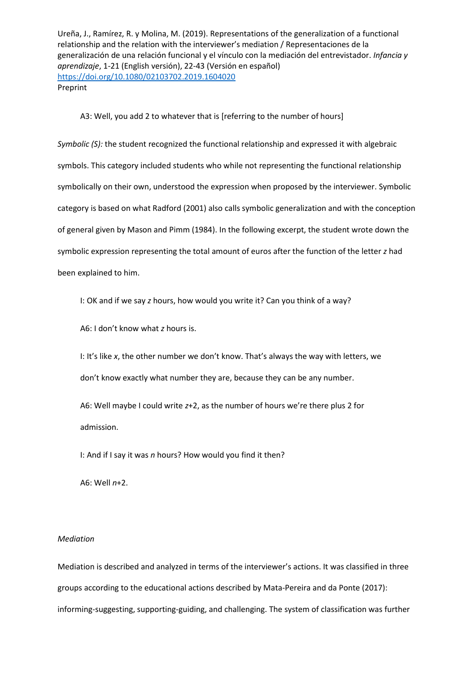## A3: Well, you add 2 to whatever that is [referring to the number of hours]

*Symbolic (S):* the student recognized the functional relationship and expressed it with algebraic symbols. This category included students who while not representing the functional relationship symbolically on their own, understood the expression when proposed by the interviewer. Symbolic category is based on what Radford (2001) also calls symbolic generalization and with the conception of general given by Mason and Pimm (1984). In the following excerpt, the student wrote down the symbolic expression representing the total amount of euros after the function of the letter *z* had been explained to him.

I: OK and if we say *z* hours, how would you write it? Can you think of a way?

A6: I don't know what *z* hours is.

I: It's like *x*, the other number we don't know. That's always the way with letters, we don't know exactly what number they are, because they can be any number.

A6: Well maybe I could write *z*+2, as the number of hours we're there plus 2 for admission.

I: And if I say it was *n* hours? How would you find it then?

A6: Well *n*+2.

#### *Mediation*

Mediation is described and analyzed in terms of the interviewer's actions. It was classified in three groups according to the educational actions described by Mata-Pereira and da Ponte (2017): informing-suggesting, supporting-guiding, and challenging. The system of classification was further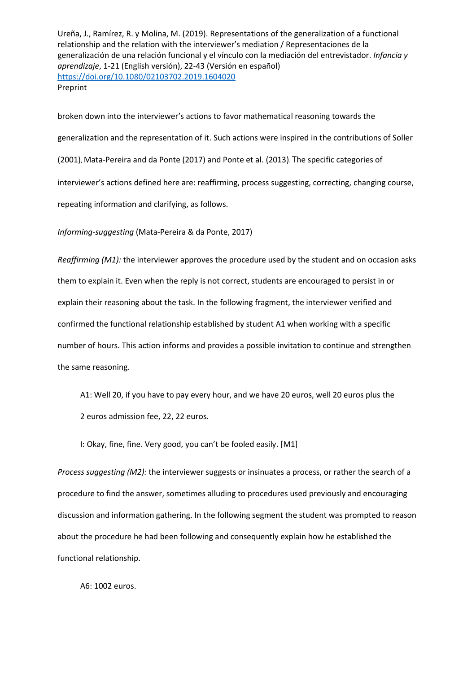broken down into the interviewer's actions to favor mathematical reasoning towards the generalization and the representation of it. Such actions were inspired in the contributions of Soller (2001), Mata-Pereira and da Ponte (2017) and Ponte et al. (2013). The specific categories of interviewer's actions defined here are: reaffirming, process suggesting, correcting, changing course, repeating information and clarifying, as follows.

*Informing-suggesting* (Mata-Pereira & da Ponte, 2017)

*Reaffirming (M1):* the interviewer approves the procedure used by the student and on occasion asks them to explain it. Even when the reply is not correct, students are encouraged to persist in or explain their reasoning about the task. In the following fragment, the interviewer verified and confirmed the functional relationship established by student A1 when working with a specific number of hours. This action informs and provides a possible invitation to continue and strengthen the same reasoning.

A1: Well 20, if you have to pay every hour, and we have 20 euros, well 20 euros plus the 2 euros admission fee, 22, 22 euros.

I: Okay, fine, fine. Very good, you can't be fooled easily. [M1]

*Process suggesting (M2):* the interviewer suggests or insinuates a process, or rather the search of a procedure to find the answer, sometimes alluding to procedures used previously and encouraging discussion and information gathering. In the following segment the student was prompted to reason about the procedure he had been following and consequently explain how he established the functional relationship.

A6: 1002 euros.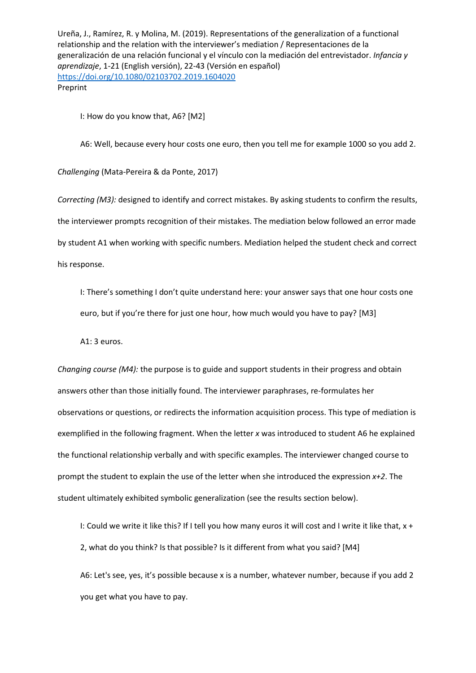I: How do you know that, A6? [M2]

A6: Well, because every hour costs one euro, then you tell me for example 1000 so you add 2.

*Challenging* (Mata-Pereira & da Ponte, 2017)

*Correcting (M3):* designed to identify and correct mistakes. By asking students to confirm the results, the interviewer prompts recognition of their mistakes. The mediation below followed an error made by student A1 when working with specific numbers. Mediation helped the student check and correct his response.

I: There's something I don't quite understand here: your answer says that one hour costs one euro, but if you're there for just one hour, how much would you have to pay? [M3]

A1: 3 euros.

*Changing course (M4):* the purpose is to guide and support students in their progress and obtain answers other than those initially found. The interviewer paraphrases, re-formulates her observations or questions, or redirects the information acquisition process. This type of mediation is exemplified in the following fragment. When the letter *x* was introduced to student A6 he explained the functional relationship verbally and with specific examples. The interviewer changed course to prompt the student to explain the use of the letter when she introduced the expression *x+2*. The student ultimately exhibited symbolic generalization (see the results section below).

I: Could we write it like this? If I tell you how many euros it will cost and I write it like that, x + 2, what do you think? Is that possible? Is it different from what you said? [M4]

A6: Let's see, yes, it's possible because x is a number, whatever number, because if you add 2 you get what you have to pay.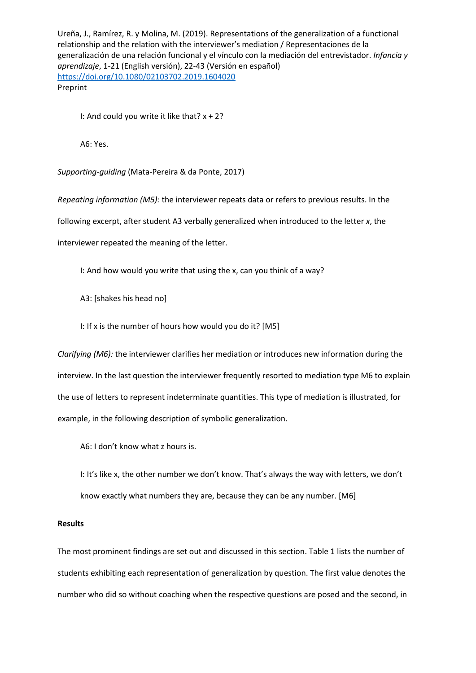I: And could you write it like that? x + 2?

A6: Yes.

*Supporting-guiding* (Mata-Pereira & da Ponte, 2017)

*Repeating information (M5):* the interviewer repeats data or refers to previous results. In the following excerpt, after student A3 verbally generalized when introduced to the letter *x*, the interviewer repeated the meaning of the letter.

I: And how would you write that using the x, can you think of a way?

A3: [shakes his head no]

I: If x is the number of hours how would you do it? [M5]

*Clarifying (M6):* the interviewer clarifies her mediation or introduces new information during the interview. In the last question the interviewer frequently resorted to mediation type M6 to explain the use of letters to represent indeterminate quantities. This type of mediation is illustrated, for example, in the following description of symbolic generalization.

A6: I don't know what z hours is.

I: It's like x, the other number we don't know. That's always the way with letters, we don't know exactly what numbers they are, because they can be any number. [M6]

#### **Results**

The most prominent findings are set out and discussed in this section. Table 1 lists the number of students exhibiting each representation of generalization by question. The first value denotes the number who did so without coaching when the respective questions are posed and the second, in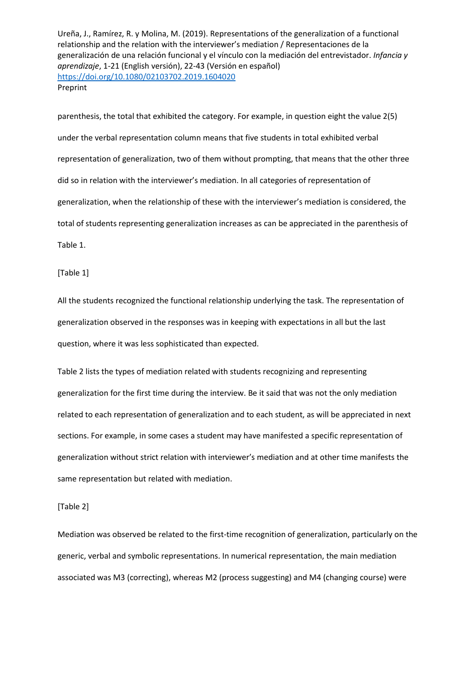parenthesis, the total that exhibited the category. For example, in question eight the value 2(5) under the verbal representation column means that five students in total exhibited verbal representation of generalization, two of them without prompting, that means that the other three did so in relation with the interviewer's mediation. In all categories of representation of generalization, when the relationship of these with the interviewer's mediation is considered, the total of students representing generalization increases as can be appreciated in the parenthesis of Table 1.

[Table 1]

All the students recognized the functional relationship underlying the task. The representation of generalization observed in the responses was in keeping with expectations in all but the last question, where it was less sophisticated than expected.

Table 2 lists the types of mediation related with students recognizing and representing generalization for the first time during the interview. Be it said that was not the only mediation related to each representation of generalization and to each student, as will be appreciated in next sections. For example, in some cases a student may have manifested a specific representation of generalization without strict relation with interviewer's mediation and at other time manifests the same representation but related with mediation.

[Table 2]

Mediation was observed be related to the first-time recognition of generalization, particularly on the generic, verbal and symbolic representations. In numerical representation, the main mediation associated was M3 (correcting), whereas M2 (process suggesting) and M4 (changing course) were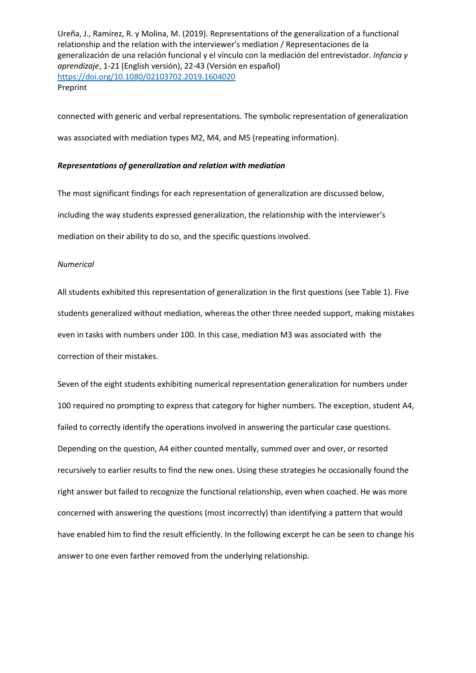connected with generic and verbal representations. The symbolic representation of generalization was associated with mediation types M2, M4, and M5 (repeating information).

## *Representations of generalization and relation with mediation*

The most significant findings for each representation of generalization are discussed below, including the way students expressed generalization, the relationship with the interviewer's mediation on their ability to do so, and the specific questions involved.

## *Numerical*

All students exhibited this representation of generalization in the first questions (see Table 1). Five students generalized without mediation, whereas the other three needed support, making mistakes even in tasks with numbers under 100. In this case, mediation M3 was associated with the correction of their mistakes.

Seven of the eight students exhibiting numerical representation generalization for numbers under 100 required no prompting to express that category for higher numbers. The exception, student A4, failed to correctly identify the operations involved in answering the particular case questions. Depending on the question, A4 either counted mentally, summed over and over, or resorted recursively to earlier results to find the new ones. Using these strategies he occasionally found the right answer but failed to recognize the functional relationship, even when coached. He was more concerned with answering the questions (most incorrectly) than identifying a pattern that would have enabled him to find the result efficiently. In the following excerpt he can be seen to change his answer to one even farther removed from the underlying relationship.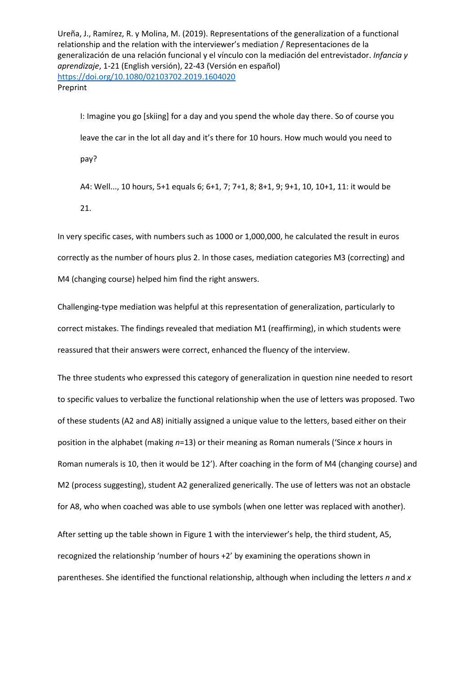I: Imagine you go [skiing] for a day and you spend the whole day there. So of course you leave the car in the lot all day and it's there for 10 hours. How much would you need to pay?

A4: Well..., 10 hours, 5+1 equals 6; 6+1, 7; 7+1, 8; 8+1, 9; 9+1, 10, 10+1, 11: it would be 21.

In very specific cases, with numbers such as 1000 or 1,000,000, he calculated the result in euros correctly as the number of hours plus 2. In those cases, mediation categories M3 (correcting) and M4 (changing course) helped him find the right answers.

Challenging-type mediation was helpful at this representation of generalization, particularly to correct mistakes. The findings revealed that mediation M1 (reaffirming), in which students were reassured that their answers were correct, enhanced the fluency of the interview.

The three students who expressed this category of generalization in question nine needed to resort to specific values to verbalize the functional relationship when the use of letters was proposed. Two of these students (A2 and A8) initially assigned a unique value to the letters, based either on their position in the alphabet (making *n*=13) or their meaning as Roman numerals ('Since *x* hours in Roman numerals is 10, then it would be 12'). After coaching in the form of M4 (changing course) and M2 (process suggesting), student A2 generalized generically. The use of letters was not an obstacle for A8, who when coached was able to use symbols (when one letter was replaced with another).

After setting up the table shown in Figure 1 with the interviewer's help, the third student, A5, recognized the relationship 'number of hours +2' by examining the operations shown in parentheses. She identified the functional relationship, although when including the letters *n* and *x*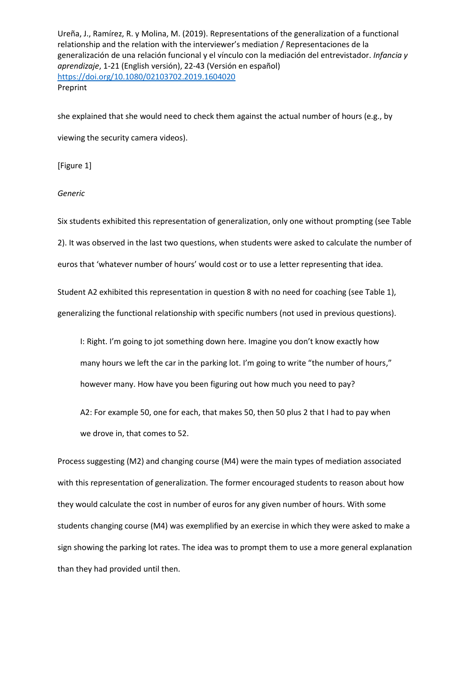she explained that she would need to check them against the actual number of hours (e.g., by viewing the security camera videos).

[Figure 1]

## *Generic*

Six students exhibited this representation of generalization, only one without prompting (see Table 2). It was observed in the last two questions, when students were asked to calculate the number of euros that 'whatever number of hours' would cost or to use a letter representing that idea.

Student A2 exhibited this representation in question 8 with no need for coaching (see Table 1), generalizing the functional relationship with specific numbers (not used in previous questions).

I: Right. I'm going to jot something down here. Imagine you don't know exactly how many hours we left the car in the parking lot. I'm going to write "the number of hours," however many. How have you been figuring out how much you need to pay?

A2: For example 50, one for each, that makes 50, then 50 plus 2 that I had to pay when we drove in, that comes to 52.

Process suggesting (M2) and changing course (M4) were the main types of mediation associated with this representation of generalization. The former encouraged students to reason about how they would calculate the cost in number of euros for any given number of hours. With some students changing course (M4) was exemplified by an exercise in which they were asked to make a sign showing the parking lot rates. The idea was to prompt them to use a more general explanation than they had provided until then.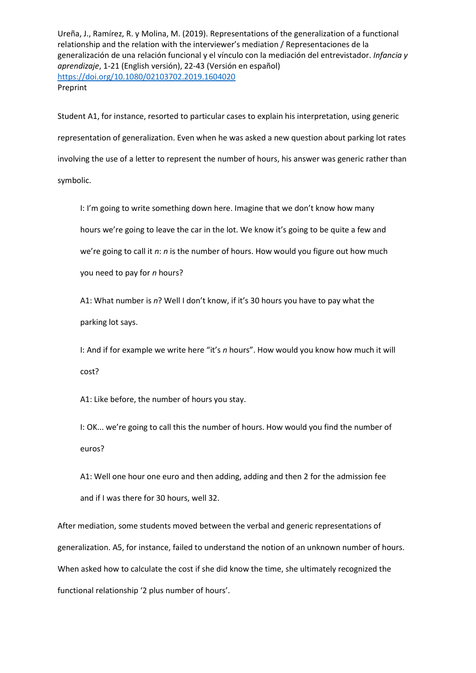Student A1, for instance, resorted to particular cases to explain his interpretation, using generic representation of generalization. Even when he was asked a new question about parking lot rates involving the use of a letter to represent the number of hours, his answer was generic rather than symbolic.

I: I'm going to write something down here. Imagine that we don't know how many hours we're going to leave the car in the lot. We know it's going to be quite a few and we're going to call it *n*: *n* is the number of hours. How would you figure out how much you need to pay for *n* hours?

A1: What number is *n*? Well I don't know, if it's 30 hours you have to pay what the parking lot says.

I: And if for example we write here "it's *n* hours". How would you know how much it will cost?

A1: Like before, the number of hours you stay.

I: OK... we're going to call this the number of hours. How would you find the number of euros?

A1: Well one hour one euro and then adding, adding and then 2 for the admission fee and if I was there for 30 hours, well 32.

After mediation, some students moved between the verbal and generic representations of generalization. A5, for instance, failed to understand the notion of an unknown number of hours. When asked how to calculate the cost if she did know the time, she ultimately recognized the functional relationship '2 plus number of hours'.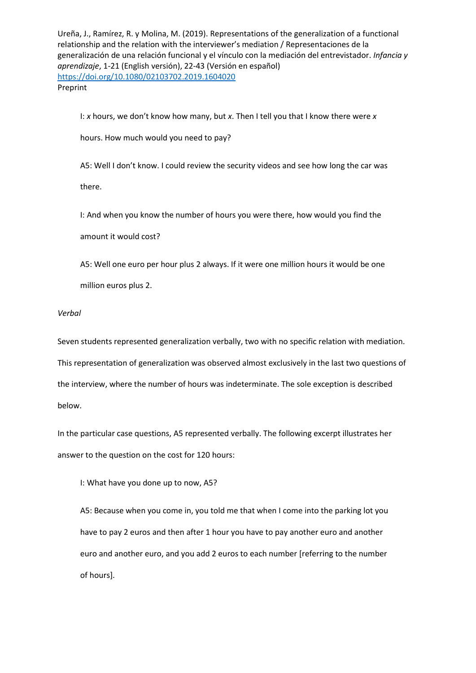I: *x* hours, we don't know how many, but *x*. Then I tell you that I know there were *x*

hours. How much would you need to pay?

A5: Well I don't know. I could review the security videos and see how long the car was there.

I: And when you know the number of hours you were there, how would you find the amount it would cost?

A5: Well one euro per hour plus 2 always. If it were one million hours it would be one million euros plus 2.

## *Verbal*

Seven students represented generalization verbally, two with no specific relation with mediation. This representation of generalization was observed almost exclusively in the last two questions of the interview, where the number of hours was indeterminate. The sole exception is described below.

In the particular case questions, A5 represented verbally. The following excerpt illustrates her answer to the question on the cost for 120 hours:

I: What have you done up to now, A5?

A5: Because when you come in, you told me that when I come into the parking lot you have to pay 2 euros and then after 1 hour you have to pay another euro and another euro and another euro, and you add 2 euros to each number [referring to the number of hours].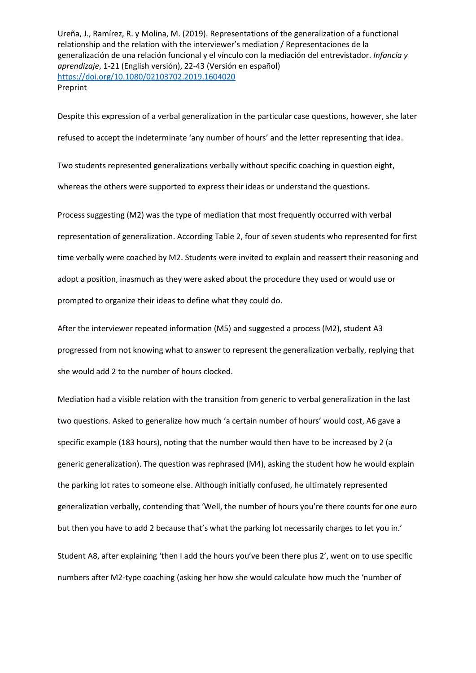Despite this expression of a verbal generalization in the particular case questions, however, she later refused to accept the indeterminate 'any number of hours' and the letter representing that idea. Two students represented generalizations verbally without specific coaching in question eight, whereas the others were supported to express their ideas or understand the questions.

Process suggesting (M2) was the type of mediation that most frequently occurred with verbal representation of generalization. According Table 2, four of seven students who represented for first time verbally were coached by M2. Students were invited to explain and reassert their reasoning and adopt a position, inasmuch as they were asked about the procedure they used or would use or prompted to organize their ideas to define what they could do.

After the interviewer repeated information (M5) and suggested a process (M2), student A3 progressed from not knowing what to answer to represent the generalization verbally, replying that she would add 2 to the number of hours clocked.

Mediation had a visible relation with the transition from generic to verbal generalization in the last two questions. Asked to generalize how much 'a certain number of hours' would cost, A6 gave a specific example (183 hours), noting that the number would then have to be increased by 2 (a generic generalization). The question was rephrased (M4), asking the student how he would explain the parking lot rates to someone else. Although initially confused, he ultimately represented generalization verbally, contending that 'Well, the number of hours you're there counts for one euro but then you have to add 2 because that's what the parking lot necessarily charges to let you in.'

Student A8, after explaining 'then I add the hours you've been there plus 2', went on to use specific numbers after M2-type coaching (asking her how she would calculate how much the 'number of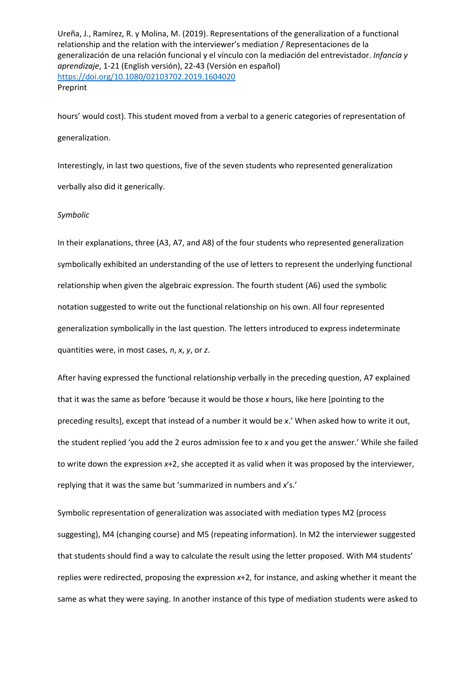hours' would cost). This student moved from a verbal to a generic categories of representation of generalization.

Interestingly, in last two questions, five of the seven students who represented generalization verbally also did it generically.

#### *Symbolic*

In their explanations, three (A3, A7, and A8) of the four students who represented generalization symbolically exhibited an understanding of the use of letters to represent the underlying functional relationship when given the algebraic expression. The fourth student (A6) used the symbolic notation suggested to write out the functional relationship on his own. All four represented generalization symbolically in the last question. The letters introduced to express indeterminate quantities were, in most cases, *n*, *x*, *y*, or *z*.

After having expressed the functional relationship verbally in the preceding question, A7 explained that it was the same as before 'because it would be those *x* hours, like here [pointing to the preceding results], except that instead of a number it would be *x*.' When asked how to write it out, the student replied 'you add the 2 euros admission fee to *x* and you get the answer.' While she failed to write down the expression *x*+2, she accepted it as valid when it was proposed by the interviewer, replying that it was the same but 'summarized in numbers and *x*'s.'

Symbolic representation of generalization was associated with mediation types M2 (process suggesting), M4 (changing course) and M5 (repeating information). In M2 the interviewer suggested that students should find a way to calculate the result using the letter proposed. With M4 students' replies were redirected, proposing the expression *x*+2, for instance, and asking whether it meant the same as what they were saying. In another instance of this type of mediation students were asked to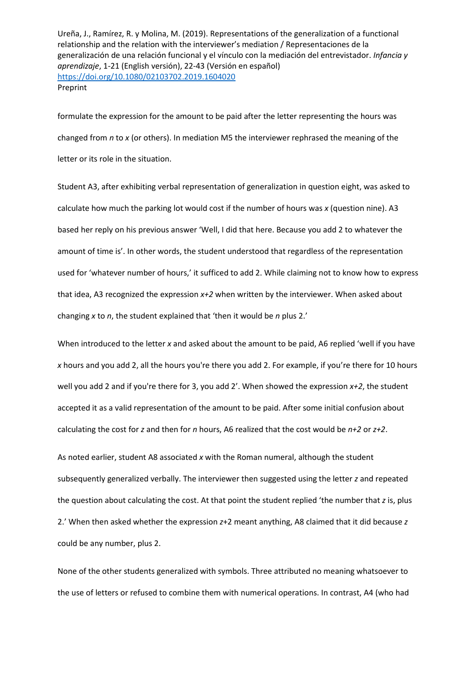formulate the expression for the amount to be paid after the letter representing the hours was changed from *n* to *x* (or others). In mediation M5 the interviewer rephrased the meaning of the letter or its role in the situation.

Student A3, after exhibiting verbal representation of generalization in question eight, was asked to calculate how much the parking lot would cost if the number of hours was *x* (question nine). A3 based her reply on his previous answer 'Well, I did that here. Because you add 2 to whatever the amount of time is'. In other words, the student understood that regardless of the representation used for 'whatever number of hours,' it sufficed to add 2. While claiming not to know how to express that idea, A3 recognized the expression *x+2* when written by the interviewer. When asked about changing *x* to *n*, the student explained that 'then it would be *n* plus 2.'

When introduced to the letter *x* and asked about the amount to be paid, A6 replied 'well if you have *x* hours and you add 2, all the hours you're there you add 2. For example, if you're there for 10 hours well you add 2 and if you're there for 3, you add 2'. When showed the expression *x+2*, the student accepted it as a valid representation of the amount to be paid. After some initial confusion about calculating the cost for *z* and then for *n* hours, A6 realized that the cost would be *n+2* or *z+2*.

As noted earlier, student A8 associated *x* with the Roman numeral, although the student subsequently generalized verbally. The interviewer then suggested using the letter *z* and repeated the question about calculating the cost. At that point the student replied 'the number that *z* is, plus 2.' When then asked whether the expression *z*+2 meant anything, A8 claimed that it did because *z* could be any number, plus 2.

None of the other students generalized with symbols. Three attributed no meaning whatsoever to the use of letters or refused to combine them with numerical operations. In contrast, A4 (who had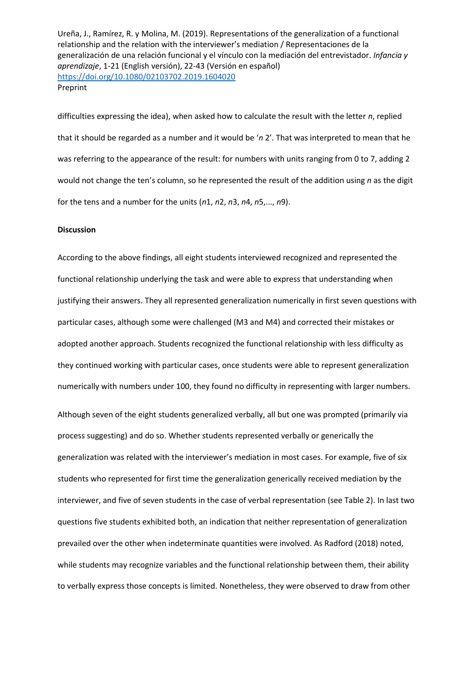difficulties expressing the idea), when asked how to calculate the result with the letter *n*, replied that it should be regarded as a number and it would be '*n* 2'. That was interpreted to mean that he was referring to the appearance of the result: for numbers with units ranging from 0 to 7, adding 2 would not change the ten's column, so he represented the result of the addition using *n* as the digit for the tens and a number for the units (*n*1, *n*2, *n*3, *n*4, *n*5,..., *n*9).

## **Discussion**

According to the above findings, all eight students interviewed recognized and represented the functional relationship underlying the task and were able to express that understanding when justifying their answers. They all represented generalization numerically in first seven questions with particular cases, although some were challenged (M3 and M4) and corrected their mistakes or adopted another approach. Students recognized the functional relationship with less difficulty as they continued working with particular cases, once students were able to represent generalization numerically with numbers under 100, they found no difficulty in representing with larger numbers. Although seven of the eight students generalized verbally, all but one was prompted (primarily via process suggesting) and do so. Whether students represented verbally or generically the generalization was related with the interviewer's mediation in most cases. For example, five of six students who represented for first time the generalization generically received mediation by the interviewer, and five of seven students in the case of verbal representation (see Table 2). In last two questions five students exhibited both, an indication that neither representation of generalization prevailed over the other when indeterminate quantities were involved. As Radford (2018) noted, while students may recognize variables and the functional relationship between them, their ability to verbally express those concepts is limited. Nonetheless, they were observed to draw from other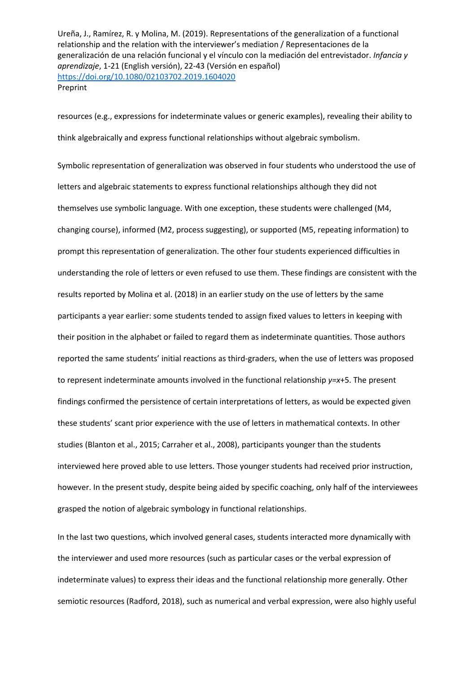resources (e.g., expressions for indeterminate values or generic examples), revealing their ability to think algebraically and express functional relationships without algebraic symbolism.

Symbolic representation of generalization was observed in four students who understood the use of letters and algebraic statements to express functional relationships although they did not themselves use symbolic language. With one exception, these students were challenged (M4, changing course), informed (M2, process suggesting), or supported (M5, repeating information) to prompt this representation of generalization. The other four students experienced difficulties in understanding the role of letters or even refused to use them. These findings are consistent with the results reported by Molina et al. (2018) in an earlier study on the use of letters by the same participants a year earlier: some students tended to assign fixed values to letters in keeping with their position in the alphabet or failed to regard them as indeterminate quantities. Those authors reported the same students' initial reactions as third-graders, when the use of letters was proposed to represent indeterminate amounts involved in the functional relationship *y=x*+5. The present findings confirmed the persistence of certain interpretations of letters, as would be expected given these students' scant prior experience with the use of letters in mathematical contexts. In other studies (Blanton et al., 2015; Carraher et al., 2008), participants younger than the students interviewed here proved able to use letters. Those younger students had received prior instruction, however. In the present study, despite being aided by specific coaching, only half of the interviewees grasped the notion of algebraic symbology in functional relationships.

In the last two questions, which involved general cases, students interacted more dynamically with the interviewer and used more resources (such as particular cases or the verbal expression of indeterminate values) to express their ideas and the functional relationship more generally. Other semiotic resources (Radford, 2018), such as numerical and verbal expression, were also highly useful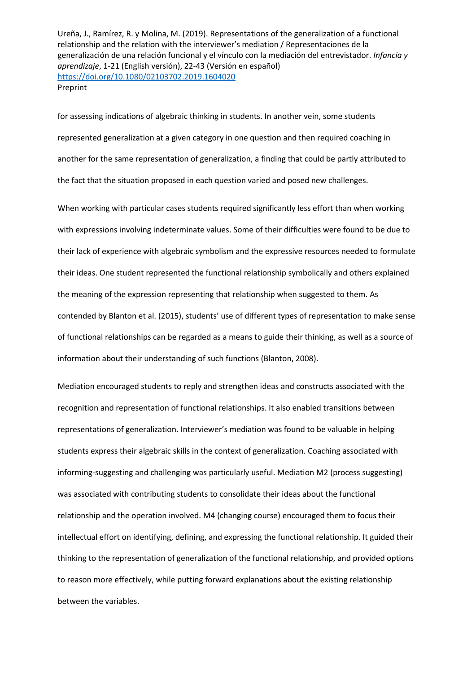for assessing indications of algebraic thinking in students. In another vein, some students represented generalization at a given category in one question and then required coaching in another for the same representation of generalization, a finding that could be partly attributed to the fact that the situation proposed in each question varied and posed new challenges.

When working with particular cases students required significantly less effort than when working with expressions involving indeterminate values. Some of their difficulties were found to be due to their lack of experience with algebraic symbolism and the expressive resources needed to formulate their ideas. One student represented the functional relationship symbolically and others explained the meaning of the expression representing that relationship when suggested to them. As contended by Blanton et al. (2015), students' use of different types of representation to make sense of functional relationships can be regarded as a means to guide their thinking, as well as a source of information about their understanding of such functions (Blanton, 2008).

Mediation encouraged students to reply and strengthen ideas and constructs associated with the recognition and representation of functional relationships. It also enabled transitions between representations of generalization. Interviewer's mediation was found to be valuable in helping students express their algebraic skills in the context of generalization. Coaching associated with informing-suggesting and challenging was particularly useful. Mediation M2 (process suggesting) was associated with contributing students to consolidate their ideas about the functional relationship and the operation involved. M4 (changing course) encouraged them to focus their intellectual effort on identifying, defining, and expressing the functional relationship. It guided their thinking to the representation of generalization of the functional relationship, and provided options to reason more effectively, while putting forward explanations about the existing relationship between the variables.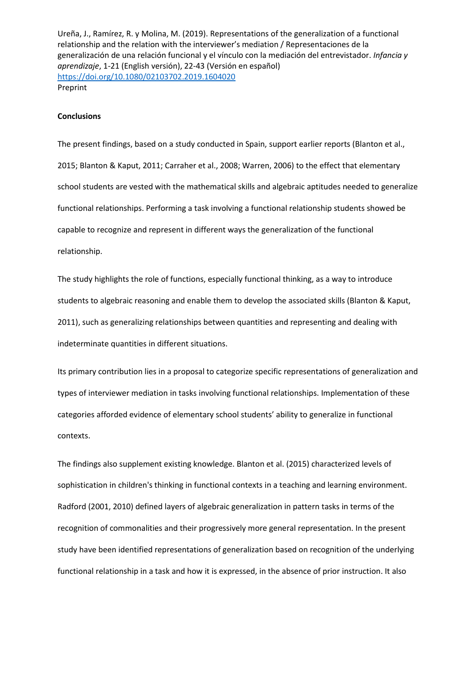#### **Conclusions**

The present findings, based on a study conducted in Spain, support earlier reports (Blanton et al., 2015; Blanton & Kaput, 2011; Carraher et al., 2008; Warren, 2006) to the effect that elementary school students are vested with the mathematical skills and algebraic aptitudes needed to generalize functional relationships. Performing a task involving a functional relationship students showed be capable to recognize and represent in different ways the generalization of the functional relationship.

The study highlights the role of functions, especially functional thinking, as a way to introduce students to algebraic reasoning and enable them to develop the associated skills (Blanton & Kaput, 2011), such as generalizing relationships between quantities and representing and dealing with indeterminate quantities in different situations.

Its primary contribution lies in a proposal to categorize specific representations of generalization and types of interviewer mediation in tasks involving functional relationships. Implementation of these categories afforded evidence of elementary school students' ability to generalize in functional contexts.

The findings also supplement existing knowledge. Blanton et al. (2015) characterized levels of sophistication in children's thinking in functional contexts in a teaching and learning environment. Radford (2001, 2010) defined layers of algebraic generalization in pattern tasks in terms of the recognition of commonalities and their progressively more general representation. In the present study have been identified representations of generalization based on recognition of the underlying functional relationship in a task and how it is expressed, in the absence of prior instruction. It also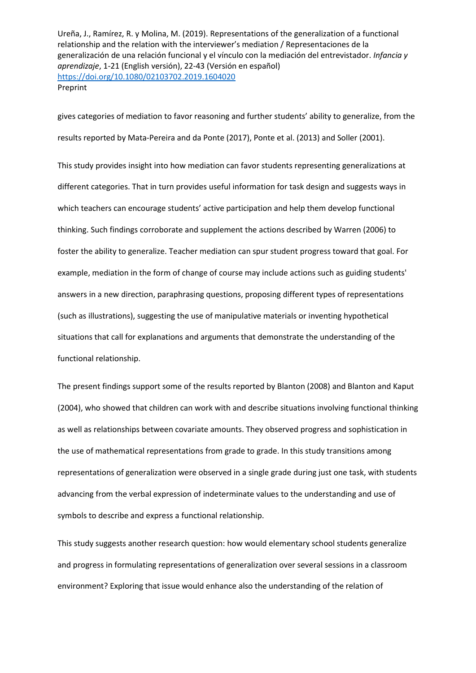gives categories of mediation to favor reasoning and further students' ability to generalize, from the results reported by Mata-Pereira and da Ponte (2017), Ponte et al. (2013) and Soller (2001).

This study provides insight into how mediation can favor students representing generalizations at different categories. That in turn provides useful information for task design and suggests ways in which teachers can encourage students' active participation and help them develop functional thinking. Such findings corroborate and supplement the actions described by Warren (2006) to foster the ability to generalize. Teacher mediation can spur student progress toward that goal. For example, mediation in the form of change of course may include actions such as guiding students' answers in a new direction, paraphrasing questions, proposing different types of representations (such as illustrations), suggesting the use of manipulative materials or inventing hypothetical situations that call for explanations and arguments that demonstrate the understanding of the functional relationship.

The present findings support some of the results reported by Blanton (2008) and Blanton and Kaput (2004), who showed that children can work with and describe situations involving functional thinking as well as relationships between covariate amounts. They observed progress and sophistication in the use of mathematical representations from grade to grade. In this study transitions among representations of generalization were observed in a single grade during just one task, with students advancing from the verbal expression of indeterminate values to the understanding and use of symbols to describe and express a functional relationship.

This study suggests another research question: how would elementary school students generalize and progress in formulating representations of generalization over several sessions in a classroom environment? Exploring that issue would enhance also the understanding of the relation of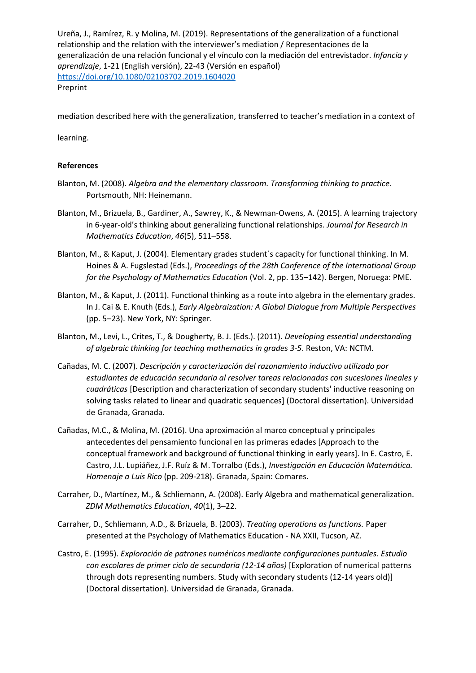mediation described here with the generalization, transferred to teacher's mediation in a context of

learning.

# **References**

- Blanton, M. (2008). *Algebra and the elementary classroom. Transforming thinking to practice*. Portsmouth, NH: Heinemann.
- Blanton, M., Brizuela, B., Gardiner, A., Sawrey, K., & Newman-Owens, A. (2015). A learning trajectory in 6-year-old's thinking about generalizing functional relationships. *Journal for Research in Mathematics Education*, *46*(5), 511–558.
- Blanton, M., & Kaput, J. (2004). Elementary grades student´s capacity for functional thinking. In M. Hoines & A. Fugslestad (Eds.), *Proceedings of the 28th Conference of the International Group for the Psychology of Mathematics Education* (Vol. 2, pp. 135–142). Bergen, Noruega: PME.
- Blanton, M., & Kaput, J. (2011). Functional thinking as a route into algebra in the elementary grades. In J. Cai & E. Knuth (Eds.), *Early Algebraization: A Global Dialogue from Multiple Perspectives* (pp. 5–23). New York, NY: Springer.
- Blanton, M., Levi, L., Crites, T., & Dougherty, B. J. (Eds.). (2011). *Developing essential understanding of algebraic thinking for teaching mathematics in grades 3-5*. Reston, VA: NCTM.
- Cañadas, M. C. (2007). *Descripción y caracterización del razonamiento inductivo utilizado por estudiantes de educación secundaria al resolver tareas relacionadas con sucesiones lineales y cuadráticas* [Description and characterization of secondary students' inductive reasoning on solving tasks related to linear and quadratic sequences] (Doctoral dissertation). Universidad de Granada, Granada.
- Cañadas, M.C., & Molina, M. (2016). Una aproximación al marco conceptual y principales antecedentes del pensamiento funcional en las primeras edades [Approach to the conceptual framework and background of functional thinking in early years]. In E. Castro, E. Castro, J.L. Lupiáñez, J.F. Ruíz & M. Torralbo (Eds.), *Investigación en Educación Matemática. Homenaje a Luis Rico* (pp. 209-218). Granada, Spain: Comares.
- Carraher, D., Martínez, M., & Schliemann, A. (2008). Early Algebra and mathematical generalization. *ZDM Mathematics Education*, *40*(1), 3–22.
- Carraher, D., Schliemann, A.D., & Brizuela, B. (2003). *Treating operations as functions.* Paper presented at the Psychology of Mathematics Education - NA XXII, Tucson, AZ.
- Castro, E. (1995). *Exploración de patrones numéricos mediante configuraciones puntuales. Estudio con escolares de primer ciclo de secundaria (12-14 años)* [Exploration of numerical patterns through dots representing numbers. Study with secondary students (12-14 years old)] (Doctoral dissertation). Universidad de Granada, Granada.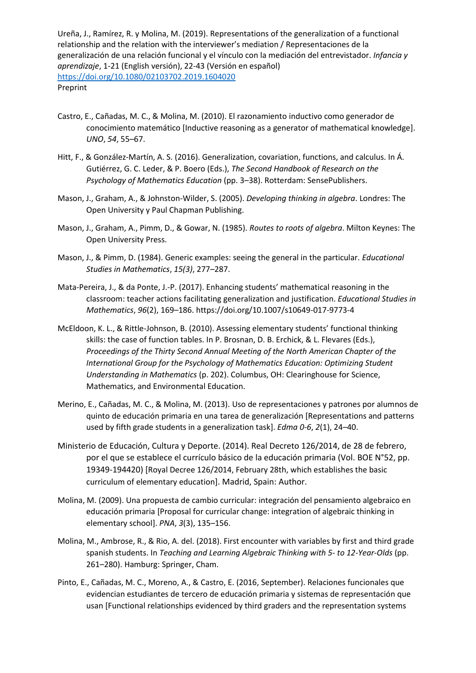- Castro, E., Cañadas, M. C., & Molina, M. (2010). El razonamiento inductivo como generador de conocimiento matemático [Inductive reasoning as a generator of mathematical knowledge]. *UNO*, *54*, 55–67.
- Hitt, F., & González-Martín, A. S. (2016). Generalization, covariation, functions, and calculus. In Á. Gutiérrez, G. C. Leder, & P. Boero (Eds.), *The Second Handbook of Research on the Psychology of Mathematics Education* (pp. 3–38). Rotterdam: SensePublishers.
- Mason, J., Graham, A., & Johnston-Wilder, S. (2005). *Developing thinking in algebra*. Londres: The Open University y Paul Chapman Publishing.
- Mason, J., Graham, A., Pimm, D., & Gowar, N. (1985). *Routes to roots of algebra*. Milton Keynes: The Open University Press.
- Mason, J., & Pimm, D. (1984). Generic examples: seeing the general in the particular. *Educational Studies in Mathematics*, *15(3)*, 277–287.
- Mata-Pereira, J., & da Ponte, J.-P. (2017). Enhancing students' mathematical reasoning in the classroom: teacher actions facilitating generalization and justification. *Educational Studies in Mathematics*, *96*(2), 169–186. https://doi.org/10.1007/s10649-017-9773-4
- McEldoon, K. L., & Rittle-Johnson, B. (2010). Assessing elementary students' functional thinking skills: the case of function tables. In P. Brosnan, D. B. Erchick, & L. Flevares (Eds.), *Proceedings of the Thirty Second Annual Meeting of the North American Chapter of the International Group for the Psychology of Mathematics Education: Optimizing Student Understanding in Mathematics* (p. 202). Columbus, OH: Clearinghouse for Science, Mathematics, and Environmental Education.
- Merino, E., Cañadas, M. C., & Molina, M. (2013). Uso de representaciones y patrones por alumnos de quinto de educación primaria en una tarea de generalización [Representations and patterns used by fifth grade students in a generalization task]. *Edma 0-6*, *2*(1), 24–40.
- Ministerio de Educación, Cultura y Deporte. (2014). Real Decreto 126/2014, de 28 de febrero, por el que se establece el currículo básico de la educación primaria (Vol. BOE N°52, pp. 19349-194420) [Royal Decree 126/2014, February 28th, which establishes the basic curriculum of elementary education]. Madrid, Spain: Author.
- Molina, M. (2009). Una propuesta de cambio curricular: integración del pensamiento algebraico en educación primaria [Proposal for curricular change: integration of algebraic thinking in elementary school]. *PNA*, *3*(3), 135–156.
- Molina, M., Ambrose, R., & Rio, A. del. (2018). First encounter with variables by first and third grade spanish students. In *Teaching and Learning Algebraic Thinking with 5- to 12-Year-Olds* (pp. 261–280). Hamburg: Springer, Cham.
- Pinto, E., Cañadas, M. C., Moreno, A., & Castro, E. (2016, September). Relaciones funcionales que evidencian estudiantes de tercero de educación primaria y sistemas de representación que usan [Functional relationships evidenced by third graders and the representation systems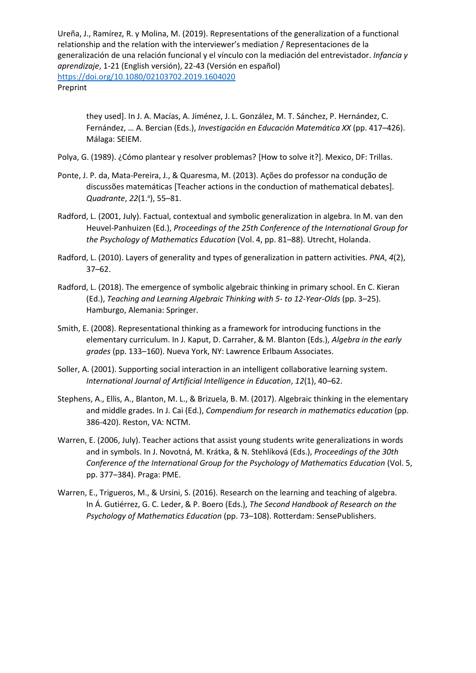they used]. In J. A. Macías, A. Jiménez, J. L. González, M. T. Sánchez, P. Hernández, C. Fernández, … A. Bercian (Eds.), *Investigación en Educación Matemática XX* (pp. 417–426). Málaga: SEIEM.

- Polya, G. (1989). ¿Cómo plantear y resolver problemas? [How to solve it?]. Mexico, DF: Trillas.
- Ponte, J. P. da, Mata-Pereira, J., & Quaresma, M. (2013). Ações do professor na condução de discussões matemáticas [Teacher actions in the conduction of mathematical debates]. Quadrante, 22(1.ª), 55-81.
- Radford, L. (2001, July). Factual, contextual and symbolic generalization in algebra. In M. van den Heuvel-Panhuizen (Ed.), *Proceedings of the 25th Conference of the International Group for the Psychology of Mathematics Education* (Vol. 4, pp. 81–88). Utrecht, Holanda.
- Radford, L. (2010). Layers of generality and types of generalization in pattern activities. *PNA*, *4*(2), 37–62.
- Radford, L. (2018). The emergence of symbolic algebraic thinking in primary school. En C. Kieran (Ed.), *Teaching and Learning Algebraic Thinking with 5- to 12-Year-Olds* (pp. 3–25). Hamburgo, Alemania: Springer.
- Smith, E. (2008). Representational thinking as a framework for introducing functions in the elementary curriculum. In J. Kaput, D. Carraher, & M. Blanton (Eds.), *Algebra in the early grades* (pp. 133–160). Nueva York, NY: Lawrence Erlbaum Associates.
- Soller, A. (2001). Supporting social interaction in an intelligent collaborative learning system. *International Journal of Artificial Intelligence in Education*, *12*(1), 40–62.
- Stephens, A., Ellis, A., Blanton, M. L., & Brizuela, B. M. (2017). Algebraic thinking in the elementary and middle grades. In J. Cai (Ed.), *Compendium for research in mathematics education* (pp. 386-420). Reston, VA: NCTM.
- Warren, E. (2006, July). Teacher actions that assist young students write generalizations in words and in symbols. In J. Novotná, M. Krátka, & N. Stehlíková (Eds.), *Proceedings of the 30th Conference of the International Group for the Psychology of Mathematics Education* (Vol. 5, pp. 377–384). Praga: PME.
- Warren, E., Trigueros, M., & Ursini, S. (2016). Research on the learning and teaching of algebra. In Á. Gutiérrez, G. C. Leder, & P. Boero (Eds.), *The Second Handbook of Research on the Psychology of Mathematics Education* (pp. 73–108). Rotterdam: SensePublishers.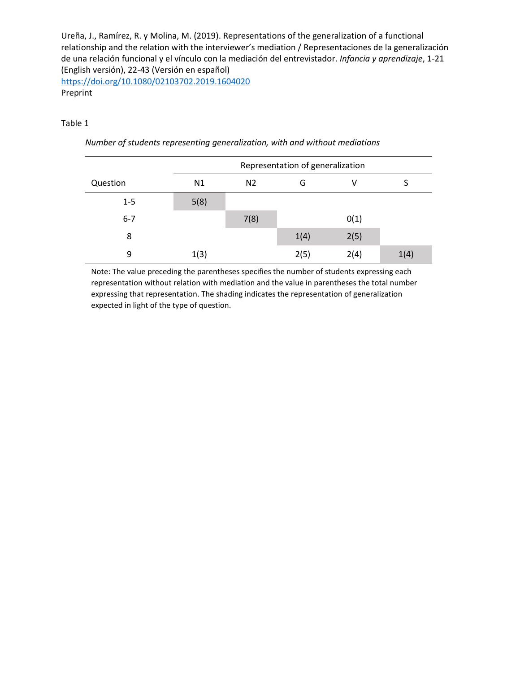Preprint

# Table 1

|          | Representation of generalization |                |      |      |      |
|----------|----------------------------------|----------------|------|------|------|
| Question | N1                               | N <sub>2</sub> | G    | ٧    |      |
| $1 - 5$  | 5(8)                             |                |      |      |      |
| $6 - 7$  |                                  | 7(8)           |      | 0(1) |      |
| 8        |                                  |                | 1(4) | 2(5) |      |
| 9        | 1(3)                             |                | 2(5) | 2(4) | 1(4) |

*Number of students representing generalization, with and without mediations*

Note: The value preceding the parentheses specifies the number of students expressing each representation without relation with mediation and the value in parentheses the total number expressing that representation. The shading indicates the representation of generalization expected in light of the type of question.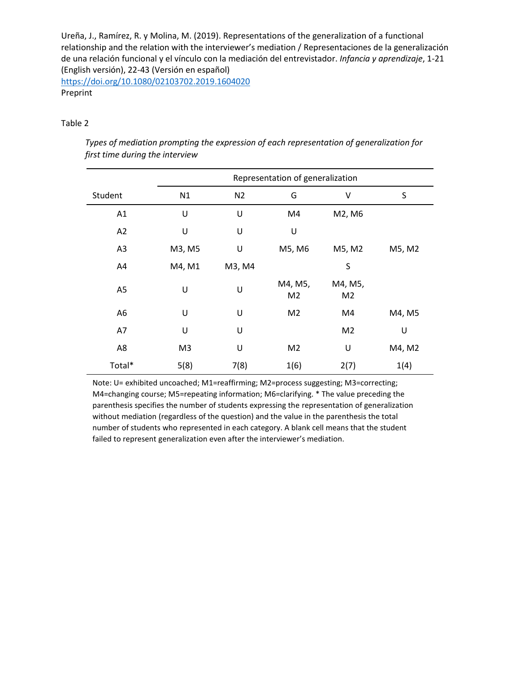<https://doi.org/10.1080/02103702.2019.1604020> Preprint

# Table 2

| Types of mediation prompting the expression of each representation of generalization for |  |
|------------------------------------------------------------------------------------------|--|
| first time during the interview                                                          |  |

|                | Representation of generalization |                |                           |                           |        |
|----------------|----------------------------------|----------------|---------------------------|---------------------------|--------|
| Student        | N1                               | N <sub>2</sub> | G                         | V                         | S      |
| A1             | U                                | U              | M4                        | M2, M6                    |        |
| A2             | U                                | U              | U                         |                           |        |
| A <sub>3</sub> | M3, M5                           | U              | M5, M6                    | M5, M2                    | M5, M2 |
| A4             | M4, M1                           | M3, M4         |                           | S                         |        |
| A <sub>5</sub> | U                                | U              | M4, M5,<br>M <sub>2</sub> | M4, M5,<br>M <sub>2</sub> |        |
| A <sub>6</sub> | U                                | U              | M <sub>2</sub>            | M4                        | M4, M5 |
| A7             | U                                | U              |                           | M <sub>2</sub>            | U      |
| A8             | M <sub>3</sub>                   | U              | M <sub>2</sub>            | U                         | M4, M2 |
| Total*         | 5(8)                             | 7(8)           | 1(6)                      | 2(7)                      | 1(4)   |

Note: U= exhibited uncoached; M1=reaffirming; M2=process suggesting; M3=correcting; M4=changing course; M5=repeating information; M6=clarifying. \* The value preceding the parenthesis specifies the number of students expressing the representation of generalization without mediation (regardless of the question) and the value in the parenthesis the total number of students who represented in each category. A blank cell means that the student failed to represent generalization even after the interviewer's mediation.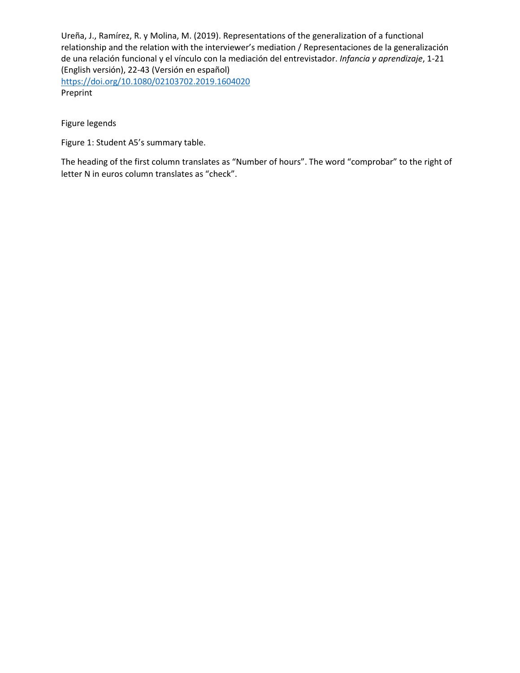Figure legends

Figure 1: Student A5's summary table.

The heading of the first column translates as "Number of hours". The word "comprobar" to the right of letter N in euros column translates as "check".